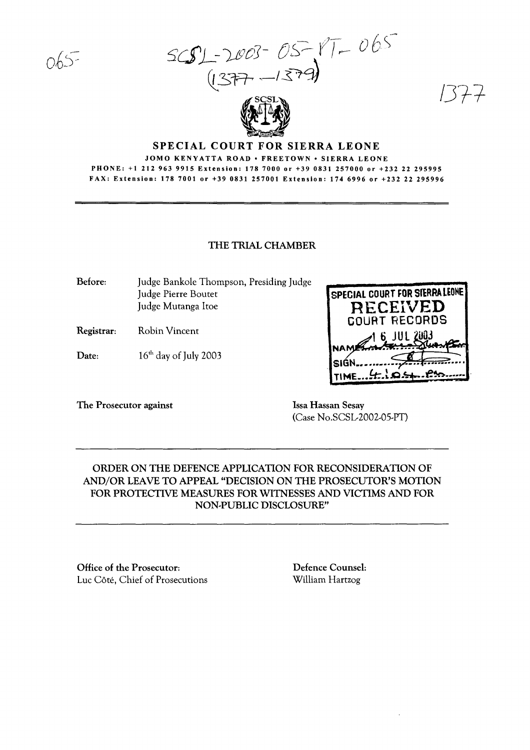$S(S)$ - $2003-05-17-065$  $(12777 - 1577)$ 



# SPECIAL COURT FOR SIERRA LEONE

#### JOMO KENYATTA ROAD· FREETOWN· SIERRA LEONE PHONE: +1 212 963 9915 Extension: 178 7000 or +39 0831 257000 or +232 22 295995 FAX: Extension: 178 7001 or +39 0831 257001 Extension: 174 6996 or +232 22 295996

#### THE TRIAL CHAMBER

Before: Judge Bankole Thompson, Presiding Judge Judge Pierre Boutet Judge Mutanga Itoe

Registrar: Robin Vincent

Date:  $16<sup>th</sup>$  day of July 2003

The Prosecutor against **Issa Hassan Sesay** 

(Case No.SCSL-2002-05-PT)

TIME... ! R. R.

SPECIAL COURT FOR SfERRA LEONE **RECEIVED** GOURT RECORDS 1 6 JUL 2003

**PAS** 

*/J7-i-*

# ORDER ON THE DEFENCE APPLICATION FOR RECONSIDERATION OF AND/OR LEAVE TO APPEAL "DECISION ON THE PROSECUTOR'S MOTION FOR PROTECTIVE MEASURES FOR WITNESSES AND VICTIMS AND FOR NON-PUBLIC DISCLOSURE"

Office of the Prosecutor: Luc Côté, Chief of Prosecutions Defence Counsel: William Hartzog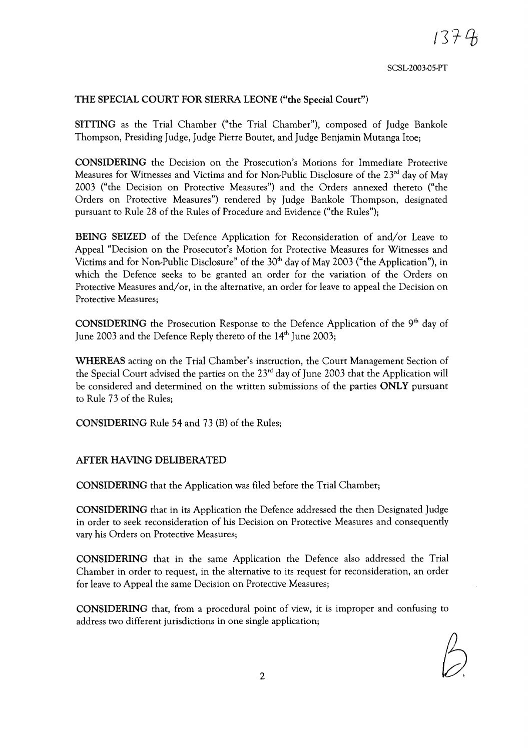SCSL-2003.Q5-PT

 $1374$ 

## **THE SPECIAL COURT FOR SIERRA LEONE ("the Special Court")**

**SITTING** as the Trial Chamber ("the Trial Chamber"), composed of Judge Bankole Thompson, Presiding Judge, Judge Pierre Boutet, and Judge Benjamin Mutanga Itoe;

**CONSIDERING** the Decision on the Prosecution's Motions for Immediate Protective Measures for Witnesses and Victims and for Non-Public Disclosure of the 23<sup>rd</sup> day of May 2003 ("the Decision on Protective Measures") and the Orders annexed thereto ("the Orders on Protective Measures") rendered by Judge Bankole Thompson, designated pursuant to Rule 28 of the Rules of Procedure and Evidence ("the Rules");

**BEING SEIZED** of the Defence Application for Reconsideration of and/or Leave to Appeal "Decision on the Prosecutor's Motion for Protective Measures for Witnesses and Victims and for Non-Public Disclosure" of the 30<sup>th</sup> day of May 2003 ("the Application"), in which the Defence seeks to be granted an order for the variation of the Orders on Protective Measures and/or, in the alternative, an order for leave to appeal the Decision on Protective Measures;

**CONSIDERING** the Prosecution Response to the Defence Application of the 9<sup>th</sup> day of June 2003 and the Defence Reply thereto of the  $14<sup>th</sup>$  June 2003;

**WHEREAS** acting on the Trial Chamber's instruction, the Court Management Section of the Special Court advised the parties on the  $23<sup>rd</sup>$  day of June 2003 that the Application will be considered and determined on the written submissions of the parties **ONLY** pursuant to Rule 73 of the Rules;

**CONSIDERING** Rule 54 and 73 (B) of the Rules;

### **AFTER HAVING DELIBERATED**

**CONSIDERING** that the Application was filed before the Trial Chamber;

**CONSIDERING** that in its Application the Defence addressed the then Designated Judge in order to seek reconsideration of his Decision on Protective Measures and consequently vary his Orders on Protective Measures;

**CONSIDERING** that in the same Application the Defence also addressed the Trial Chamber in order to request, in the alternative to its request for reconsideration, an order for leave to Appeal the same Decision on Protective Measures;

**CONSIDERING** that, from a procedural point of view, it is improper and confusing to address two different jurisdictions in one single application;